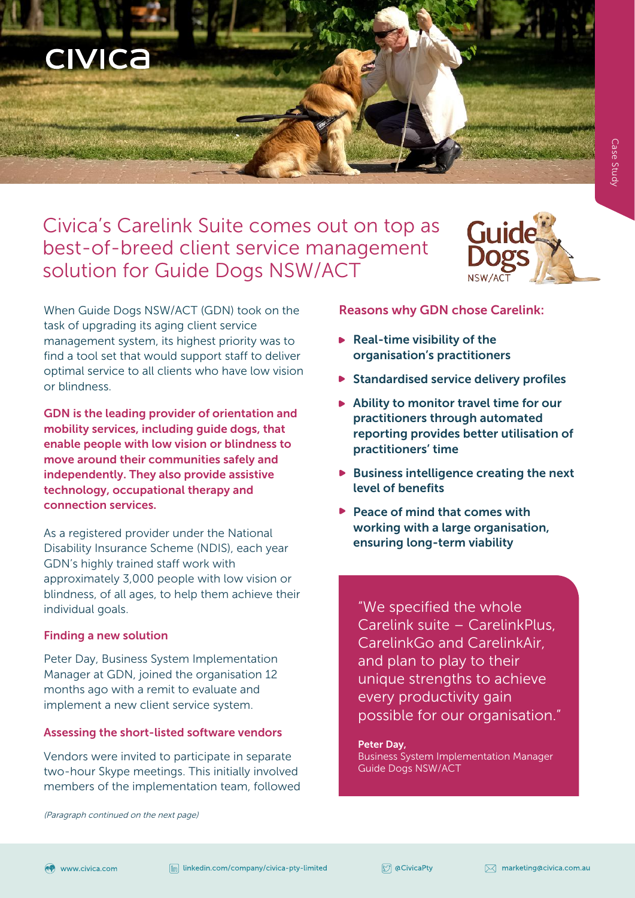# Civica's Carelink Suite comes out on top as best-of-breed client service management solution for Guide Dogs NSW/ACT



When Guide Dogs NSW/ACT (GDN) took on the task of upgrading its aging client service management system, its highest priority was to find a tool set that would support staff to deliver optimal service to all clients who have low vision or blindness.

GDN is the leading provider of orientation and mobility services, including guide dogs, that enable people with low vision or blindness to move around their communities safely and independently. They also provide assistive technology, occupational therapy and connection services.

As a registered provider under the National Disability Insurance Scheme (NDIS), each year GDN's highly trained staff work with approximately 3,000 people with low vision or blindness, of all ages, to help them achieve their individual goals.

# Finding a new solution

**CIVICA** 

Peter Day, Business System Implementation Manager at GDN, joined the organisation 12 months ago with a remit to evaluate and implement a new client service system.

### Assessing the short-listed software vendors

Vendors were invited to participate in separate two-hour Skype meetings. This initially involved members of the implementation team, followed

#### (Paragraph continued on the next page)

### Reasons why GDN chose Carelink:

- $\blacktriangleright$  Real-time visibility of the organisation's practitioners
- $\triangleright$  Standardised service delivery profiles
- $\blacktriangleright$  Ability to monitor travel time for our practitioners through automated reporting provides better utilisation of practitioners' time
- $\triangleright$  Business intelligence creating the next level of benefits
- $\blacktriangleright$  Peace of mind that comes with working with a large organisation, ensuring long-term viability

"We specified the whole Carelink suite – CarelinkPlus, CarelinkGo and CarelinkAir, and plan to play to their unique strengths to achieve every productivity gain possible for our organisation."

#### Peter Day,

Business System Implementation Manager Guide Dogs NSW/ACT